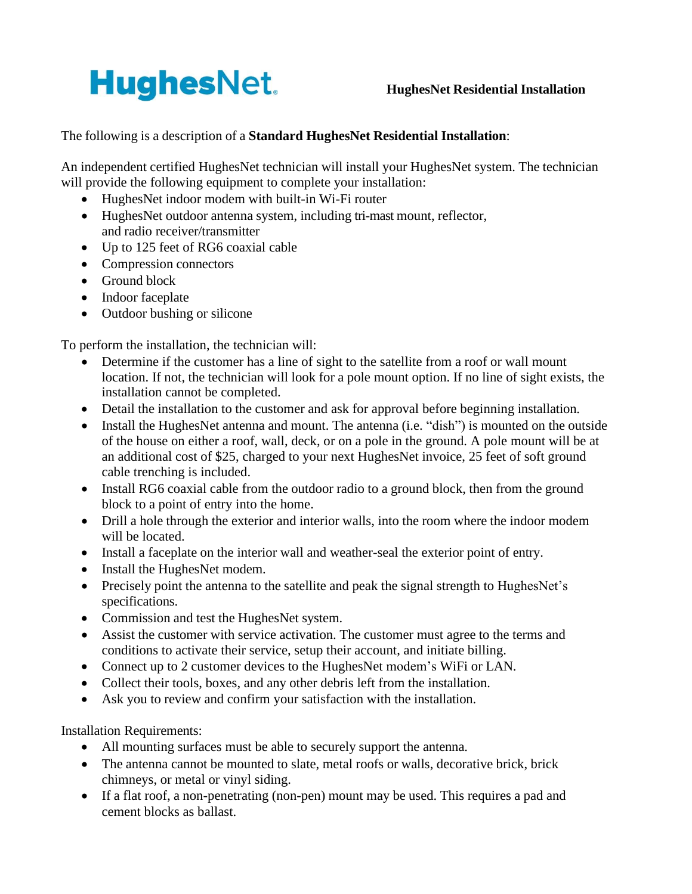## **HughesNet.**

## The following is a description of a **Standard HughesNet Residential Installation**:

An independent certified HughesNet technician will install your HughesNet system. The technician will provide the following equipment to complete your installation:

- HughesNet indoor modem with built-in Wi-Fi router
- HughesNet outdoor antenna system, including tri-mast mount, reflector, and radio receiver/transmitter
- Up to 125 feet of RG6 coaxial cable
- Compression connectors
- Ground block
- Indoor faceplate
- Outdoor bushing or silicone

To perform the installation, the technician will:

- Determine if the customer has a line of sight to the satellite from a roof or wall mount location. If not, the technician will look for a pole mount option. If no line of sight exists, the installation cannot be completed.
- Detail the installation to the customer and ask for approval before beginning installation.
- Install the HughesNet antenna and mount. The antenna (i.e. "dish") is mounted on the outside of the house on either a roof, wall, deck, or on a pole in the ground. A pole mount will be at an additional cost of \$25, charged to your next HughesNet invoice, 25 feet of soft ground cable trenching is included.
- Install RG6 coaxial cable from the outdoor radio to a ground block, then from the ground block to a point of entry into the home.
- Drill a hole through the exterior and interior walls, into the room where the indoor modem will be located.
- Install a faceplate on the interior wall and weather-seal the exterior point of entry.
- Install the HughesNet modem.
- Precisely point the antenna to the satellite and peak the signal strength to HughesNet's specifications.
- Commission and test the HughesNet system.
- Assist the customer with service activation. The customer must agree to the terms and conditions to activate their service, setup their account, and initiate billing.
- Connect up to 2 customer devices to the HughesNet modem's WiFi or LAN.
- Collect their tools, boxes, and any other debris left from the installation.
- Ask you to review and confirm your satisfaction with the installation.

Installation Requirements:

- All mounting surfaces must be able to securely support the antenna.
- The antenna cannot be mounted to slate, metal roofs or walls, decorative brick, brick chimneys, or metal or vinyl siding.
- If a flat roof, a non-penetrating (non-pen) mount may be used. This requires a pad and cement blocks as ballast.